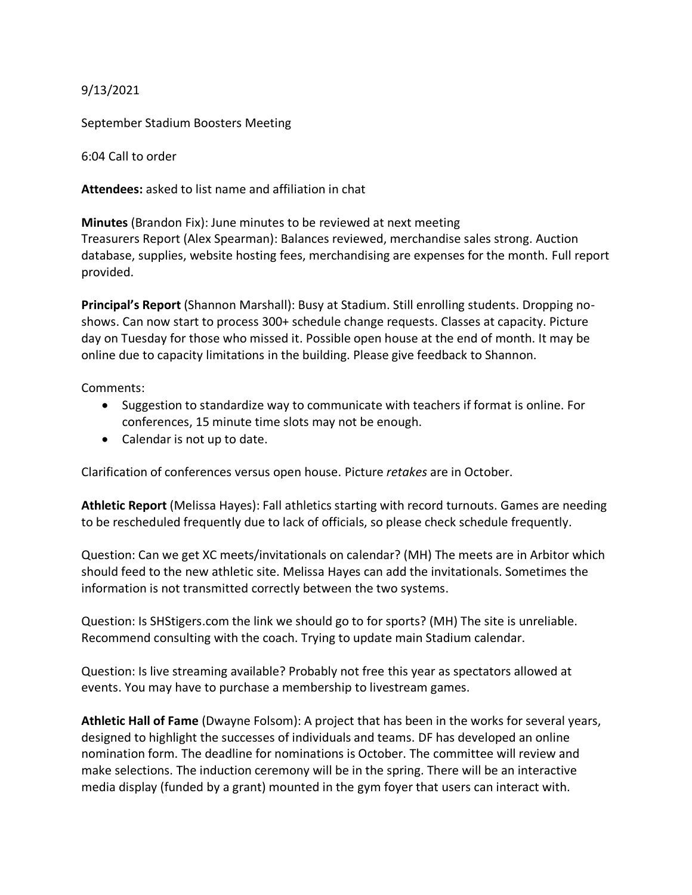## 9/13/2021

September Stadium Boosters Meeting

6:04 Call to order

**Attendees:** asked to list name and affiliation in chat

**Minutes** (Brandon Fix): June minutes to be reviewed at next meeting Treasurers Report (Alex Spearman): Balances reviewed, merchandise sales strong. Auction database, supplies, website hosting fees, merchandising are expenses for the month. Full report provided.

**Principal's Report** (Shannon Marshall): Busy at Stadium. Still enrolling students. Dropping noshows. Can now start to process 300+ schedule change requests. Classes at capacity. Picture day on Tuesday for those who missed it. Possible open house at the end of month. It may be online due to capacity limitations in the building. Please give feedback to Shannon.

Comments:

- Suggestion to standardize way to communicate with teachers if format is online. For conferences, 15 minute time slots may not be enough.
- Calendar is not up to date.

Clarification of conferences versus open house. Picture *retakes* are in October.

**Athletic Report** (Melissa Hayes): Fall athletics starting with record turnouts. Games are needing to be rescheduled frequently due to lack of officials, so please check schedule frequently.

Question: Can we get XC meets/invitationals on calendar? (MH) The meets are in Arbitor which should feed to the new athletic site. Melissa Hayes can add the invitationals. Sometimes the information is not transmitted correctly between the two systems.

Question: Is SHStigers.com the link we should go to for sports? (MH) The site is unreliable. Recommend consulting with the coach. Trying to update main Stadium calendar.

Question: Is live streaming available? Probably not free this year as spectators allowed at events. You may have to purchase a membership to livestream games.

**Athletic Hall of Fame** (Dwayne Folsom): A project that has been in the works for several years, designed to highlight the successes of individuals and teams. DF has developed an online nomination form. The deadline for nominations is October. The committee will review and make selections. The induction ceremony will be in the spring. There will be an interactive media display (funded by a grant) mounted in the gym foyer that users can interact with.